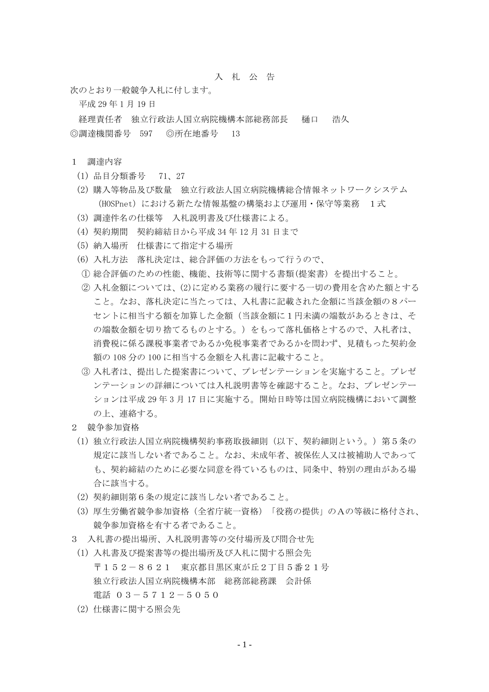## 入 札 公 告

次のとおり一般競争入札に付します。

平成 29 年 1 月 19 日

経理責任者 独立行政法人国立病院機構本部総務部長 樋口 浩久 ◎調達機関番号 597 ◎所在地番号 13

## 1 調達内容

- (1) 品目分類番号 71、27
- (2) 購入等物品及び数量 独立行政法人国立病院機構総合情報ネットワークシステム (HOSPnet)における新たな情報基盤の構築および運用・保守等業務 1式
- (3) 調達件名の仕様等 入札説明書及び仕様書による。
- (4) 契約期間 契約締結日から平成 34 年 12 月 31 日まで
- (5) 納入場所 仕様書にて指定する場所
- (6) 入札方法 落札決定は、総合評価の方法をもって行うので、
- ① 総合評価のための性能、機能、技術等に関する書類(提案書)を提出すること。
- ② 入札金額については、(2)に定める業務の履行に要する一切の費用を含めた額とする こと。なお、落札決定に当たっては、入札書に記載された金額に当該金額の8パー セントに相当する額を加算した金額(当該金額に1円未満の端数があるときは、そ の端数金額を切り捨てるものとする。)をもって落札価格とするので、入札者は、 消費税に係る課税事業者であるか免税事業者であるかを問わず、見積もった契約金 額の 108 分の 100 に相当する金額を入札書に記載すること。
- ③ 入札者は、提出した提案書について、プレゼンテーションを実施すること。プレゼ ンテーションの詳細については入札説明書等を確認すること。なお、プレゼンテー ションは平成 29 年 3 月 17 日に実施する。開始日時等は国立病院機構において調整 の上、連絡する。
- 2 競争参加資格
	- (1) 独立行政法人国立病院機構契約事務取扱細則(以下、契約細則という。)第5条の 規定に該当しない者であること。なお、未成年者、被保佐人又は被補助人であって も、契約締結のために必要な同意を得ているものは、同条中、特別の理由がある場 合に該当する。
- (2) 契約細則第6条の規定に該当しない者であること。
- (3) 厚生労働省競争参加資格(全省庁統一資格)「役務の提供」のAの等級に格付され、 競争参加資格を有する者であること。
- 3 入札書の提出場所、入札説明書等の交付場所及び問合せ先
- (1) 入札書及び提案書等の提出場所及び入札に関する照会先 〒152-8621 東京都目黒区東が丘2丁目5番21号 独立行政法人国立病院機構本部 総務部総務課 会計係 電話 03-5712-5050
- (2) 仕様書に関する照会先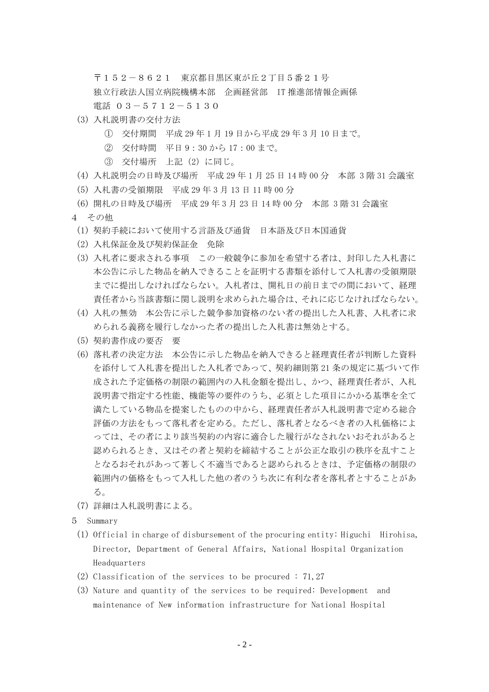〒152-8621 東京都目黒区東が丘2丁目5番21号 独立行政法人国立病院機構本部 企画経営部 IT 推進部情報企画係 電話 03-5712-5130

- (3) 入札説明書の交付方法
	- ① 交付期間 平成 29 年 1 月 19 日から平成 29 年 3 月 10 日まで。
	- ② 交付時間 平日 9:30 から 17:00 まで。
	- ③ 交付場所 上記(2)に同じ。
- (4) 入札説明会の日時及び場所 平成 29 年 1 月 25 日 14 時 00 分 本部 3 階 31 会議室
- (5) 入札書の受領期限 平成 29 年 3 月 13 日 11 時 00 分
- (6) 開札の日時及び場所 平成 29 年 3 月 23 日 14 時 00 分 本部 3 階 31 会議室
- 4 その他
	- (1) 契約手続において使用する言語及び通貨 日本語及び日本国通貨
	- (2) 入札保証金及び契約保証金 免除
	- (3) 入札者に要求される事項 この一般競争に参加を希望する者は、封印した入札書に 本公告に示した物品を納入できることを証明する書類を添付して入札書の受領期限 までに提出しなければならない。入札者は、開札日の前日までの間において、経理 責任者から当該書類に関し説明を求められた場合は、それに応じなければならない。
	- (4) 入札の無効 本公告に示した競争参加資格のない者の提出した入札書、入札者に求 められる義務を履行しなかった者の提出した入札書は無効とする。
	- (5) 契約書作成の要否 要
	- (6) 落札者の決定方法 本公告に示した物品を納入できると経理責任者が判断した資料 を添付して入札書を提出した入札者であって、契約細則第 21 条の規定に基づいて作 成された予定価格の制限の範囲内の入札金額を提出し、かつ、経理責任者が、入札 説明書で指定する性能、機能等の要件のうち、必須とした項目にかかる基準を全て 満たしている物品を提案したものの中から、経理責任者が入札説明書で定める総合 評価の方法をもって落札者を定める。ただし、落札者となるべき者の入札価格によ っては、その者により該当契約の内容に適合した履行がなされないおそれがあると 認められるとき、又はその者と契約を締結することが公正な取引の秩序を乱すこと となるおそれがあって著しく不適当であると認められるときは、予定価格の制限の 範囲内の価格をもって入札した他の者のうち次に有利な者を落札者とすることがあ  $\zeta$
- (7) 詳細は入札説明書による。
- 5 Summary
	- (1) Official in charge of disbursement of the procuring entity: Higuchi Hirohisa, Director, Department of General Affairs, National Hospital Organization Headquarters
	- (2) Classification of the services to be procured : 71,27
	- (3) Nature and quantity of the services to be required: Development and maintenance of New information infrastructure for National Hospital